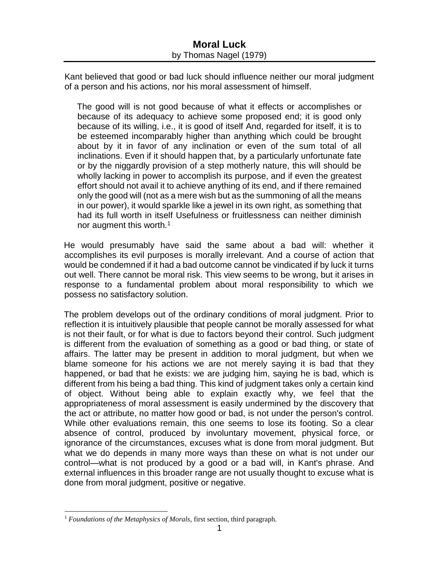Kant believed that good or bad luck should influence neither our moral judgment of a person and his actions, nor his moral assessment of himself.

The good will is not good because of what it effects or accomplishes or because of its adequacy to achieve some proposed end; it is good only because of its willing, i.e., it is good of itself And, regarded for itself, it is to be esteemed incomparably higher than anything which could be brought about by it in favor of any inclination or even of the sum total of all inclinations. Even if it should happen that, by a particularly unfortunate fate or by the niggardly provision of a step motherly nature, this will should be wholly lacking in power to accomplish its purpose, and if even the greatest effort should not avail it to achieve anything of its end, and if there remained only the good will (not as a mere wish but as the summoning of all the means in our power), it would sparkle like a jewel in its own right, as something that had its full worth in itself Usefulness or fruitlessness can neither diminish nor augment this worth.<sup>1</sup>

He would presumably have said the same about a bad will: whether it accomplishes its evil purposes is morally irrelevant. And a course of action that would be condemned if it had a bad outcome cannot be vindicated if by luck it turns out well. There cannot be moral risk. This view seems to be wrong, but it arises in response to a fundamental problem about moral responsibility to which we possess no satisfactory solution.

The problem develops out of the ordinary conditions of moral judgment. Prior to reflection it is intuitively plausible that people cannot be morally assessed for what is not their fault, or for what is due to factors beyond their control. Such judgment is different from the evaluation of something as a good or bad thing, or state of affairs. The latter may be present in addition to moral judgment, but when we blame someone for his actions we are not merely saying it is bad that they happened, or bad that he exists: we are judging him, saying he is bad, which is different from his being a bad thing. This kind of judgment takes only a certain kind of object. Without being able to explain exactly why, we feel that the appropriateness of moral assessment is easily undermined by the discovery that the act or attribute, no matter how good or bad, is not under the person's control. While other evaluations remain, this one seems to lose its footing. So a clear absence of control, produced by involuntary movement, physical force, or ignorance of the circumstances, excuses what is done from moral judgment. But what we do depends in many more ways than these on what is not under our control—what is not produced by a good or a bad will, in Kant's phrase. And external influences in this broader range are not usually thought to excuse what is done from moral judgment, positive or negative.

<sup>&</sup>lt;sup>1</sup> *Foundations of the Metaphysics of Morals*, first section, third paragraph.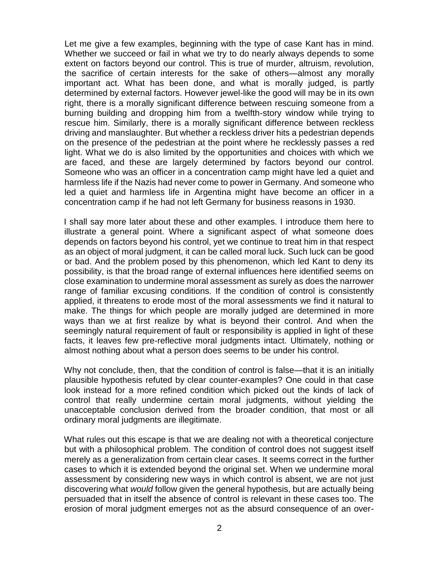Let me give a few examples, beginning with the type of case Kant has in mind. Whether we succeed or fail in what we try to do nearly always depends to some extent on factors beyond our control. This is true of murder, altruism, revolution, the sacrifice of certain interests for the sake of others—almost any morally important act. What has been done, and what is morally judged, is partly determined by external factors. However jewel-like the good will may be in its own right, there is a morally significant difference between rescuing someone from a burning building and dropping him from a twelfth-story window while trying to rescue him. Similarly, there is a morally significant difference between reckless driving and manslaughter. But whether a reckless driver hits a pedestrian depends on the presence of the pedestrian at the point where he recklessly passes a red light. What we do is also limited by the opportunities and choices with which we are faced, and these are largely determined by factors beyond our control. Someone who was an officer in a concentration camp might have led a quiet and harmless life if the Nazis had never come to power in Germany. And someone who led a quiet and harmless life in Argentina might have become an officer in a concentration camp if he had not left Germany for business reasons in 1930.

I shall say more later about these and other examples. I introduce them here to illustrate a general point. Where a significant aspect of what someone does depends on factors beyond his control, yet we continue to treat him in that respect as an object of moral judgment, it can be called moral luck. Such luck can be good or bad. And the problem posed by this phenomenon, which led Kant to deny its possibility, is that the broad range of external influences here identified seems on close examination to undermine moral assessment as surely as does the narrower range of familiar excusing conditions. If the condition of control is consistently applied, it threatens to erode most of the moral assessments we find it natural to make. The things for which people are morally judged are determined in more ways than we at first realize by what is beyond their control. And when the seemingly natural requirement of fault or responsibility is applied in light of these facts, it leaves few pre-reflective moral judgments intact. Ultimately, nothing or almost nothing about what a person does seems to be under his control.

Why not conclude, then, that the condition of control is false—that it is an initially plausible hypothesis refuted by clear counter-examples? One could in that case look instead for a more refined condition which picked out the kinds of lack of control that really undermine certain moral judgments, without yielding the unacceptable conclusion derived from the broader condition, that most or all ordinary moral judgments are illegitimate.

What rules out this escape is that we are dealing not with a theoretical conjecture but with a philosophical problem. The condition of control does not suggest itself merely as a generalization from certain clear cases. It seems correct in the further cases to which it is extended beyond the original set. When we undermine moral assessment by considering new ways in which control is absent, we are not just discovering what *would* follow given the general hypothesis, but are actually being persuaded that in itself the absence of control is relevant in these cases too. The erosion of moral judgment emerges not as the absurd consequence of an over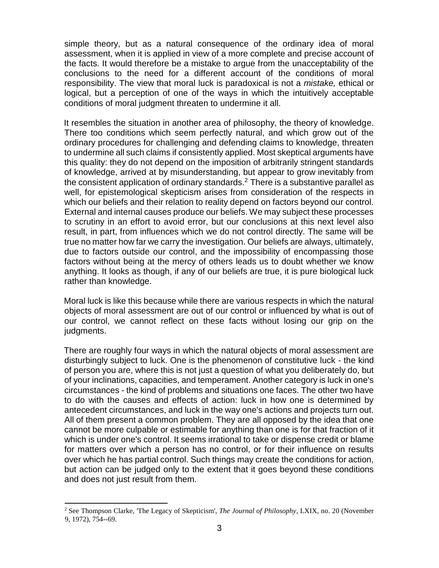simple theory, but as a natural consequence of the ordinary idea of moral assessment, when it is applied in view of a more complete and precise account of the facts. It would therefore be a mistake to argue from the unacceptability of the conclusions to the need for a different account of the conditions of moral responsibility. The view that moral luck is paradoxical is not a *mistake,* ethical or logical, but a perception of one of the ways in which the intuitively acceptable conditions of moral judgment threaten to undermine it all.

It resembles the situation in another area of philosophy, the theory of knowledge. There too conditions which seem perfectly natural, and which grow out of the ordinary procedures for challenging and defending claims to knowledge, threaten to undermine all such claims if consistently applied. Most skeptical arguments have this quality: they do not depend on the imposition of arbitrarily stringent standards of knowledge, arrived at by misunderstanding, but appear to grow inevitably from the consistent application of ordinary standards. $<sup>2</sup>$  There is a substantive parallel as</sup> well, for epistemological skepticism arises from consideration of the respects in which our beliefs and their relation to reality depend on factors beyond our control. External and internal causes produce our beliefs. We may subject these processes to scrutiny in an effort to avoid error, but our conclusions at this next level also result, in part, from influences which we do not control directly. The same will be true no matter how far we carry the investigation. Our beliefs are always, ultimately, due to factors outside our control, and the impossibility of encompassing those factors without being at the mercy of others leads us to doubt whether we know anything. It looks as though, if any of our beliefs are true, it is pure biological luck rather than knowledge.

Moral luck is like this because while there are various respects in which the natural objects of moral assessment are out of our control or influenced by what is out of our control, we cannot reflect on these facts without losing our grip on the judgments.

There are roughly four ways in which the natural objects of moral assessment are disturbingly subject to luck. One is the phenomenon of constitutive luck - the kind of person you are, where this is not just a question of what you deliberately do, but of your inclinations, capacities, and temperament. Another category is luck in one's circumstances - the kind of problems and situations one faces. The other two have to do with the causes and effects of action: luck in how one is determined by antecedent circumstances, and luck in the way one's actions and projects turn out. All of them present a common problem. They are all opposed by the idea that one cannot be more culpable or estimable for anything than one is for that fraction of it which is under one's control. It seems irrational to take or dispense credit or blame for matters over which a person has no control, or for their influence on results over which he has partial control. Such things may create the conditions for action, but action can be judged only to the extent that it goes beyond these conditions and does not just result from them.

<sup>2</sup> See Thompson Clarke, 'The Legacy of Skepticism', *The Journal of Philosophy*, LXIX, no. 20 (November 9, 1972), 754--69.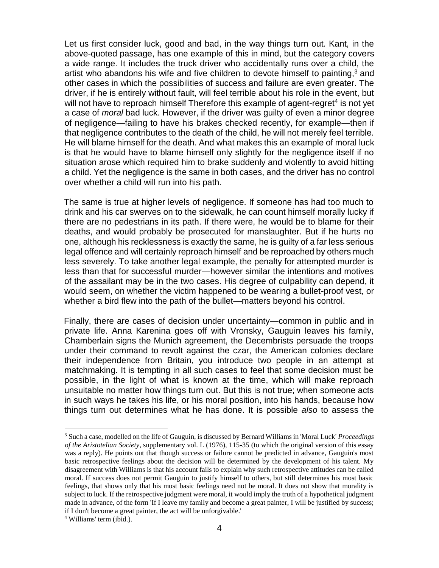Let us first consider luck, good and bad, in the way things turn out. Kant, in the above-quoted passage, has one example of this in mind, but the category covers a wide range. It includes the truck driver who accidentally runs over a child, the artist who abandons his wife and five children to devote himself to painting, $3$  and other cases in which the possibilities of success and failure are even greater. The driver, if he is entirely without fault, will feel terrible about his role in the event, but will not have to reproach himself Therefore this example of agent-regret<sup>4</sup> is not yet a case of *moral* bad luck. However, if the driver was guilty of even a minor degree of negligence—failing to have his brakes checked recently, for example—then if that negligence contributes to the death of the child, he will not merely feel terrible. He will blame himself for the death. And what makes this an example of moral luck is that he would have to blame himself only slightly for the negligence itself if no situation arose which required him to brake suddenly and violently to avoid hitting a child. Yet the negligence is the same in both cases, and the driver has no control over whether a child will run into his path.

The same is true at higher levels of negligence. If someone has had too much to drink and his car swerves on to the sidewalk, he can count himself morally lucky if there are no pedestrians in its path. If there were, he would be to blame for their deaths, and would probably be prosecuted for manslaughter. But if he hurts no one, although his recklessness is exactly the same, he is guilty of a far less serious legal offence and will certainly reproach himself and be reproached by others much less severely. To take another legal example, the penalty for attempted murder is less than that for successful murder—however similar the intentions and motives of the assailant may be in the two cases. His degree of culpability can depend, it would seem, on whether the victim happened to be wearing a bullet-proof vest, or whether a bird flew into the path of the bullet—matters beyond his control.

Finally, there are cases of decision under uncertainty—common in public and in private life. Anna Karenina goes off with Vronsky, Gauguin leaves his family, Chamberlain signs the Munich agreement, the Decembrists persuade the troops under their command to revolt against the czar, the American colonies declare their independence from Britain, you introduce two people in an attempt at matchmaking. It is tempting in all such cases to feel that some decision must be possible, in the light of what is known at the time, which will make reproach unsuitable no matter how things turn out. But this is not true; when someone acts in such ways he takes his life, or his moral position, into his hands, because how things turn out determines what he has done. It is possible *also* to assess the

 $\overline{a}$ 

<sup>3</sup> Such a case, modelled on the life of Gauguin, is discussed by Bernard Williams in 'Moral Luck' *Proceedings of the Aristotelian Society*, supplementary vol. L (1976), 115-35 (to which the original version of this essay was a reply). He points out that though success or failure cannot be predicted in advance, Gauguin's most basic retrospective feelings about the decision will be determined by the development of his talent. My disagreement with Williams is that his account fails to explain why such retrospective attitudes can be called moral. If success does not permit Gauguin to justify himself to others, but still determines his most basic feelings, that shows only that his most basic feelings need not be moral. It does not show that morality is subject to luck. If the retrospective judgment were moral, it would imply the truth of a hypothetical judgment made in advance, of the form 'If I leave my family and become a great painter, I will be justified by success; if I don't become a great painter, the act will be unforgivable.'

<sup>4</sup> Williams' term (ibid.).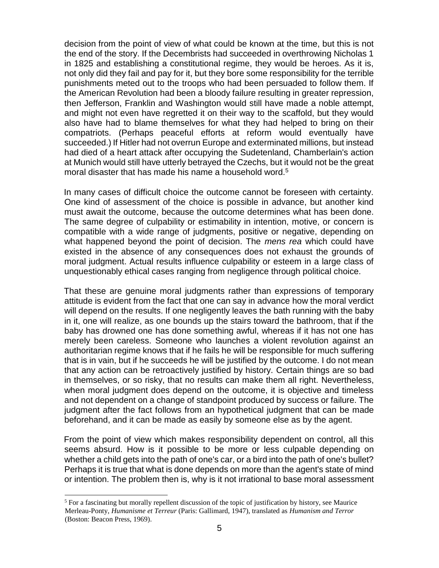decision from the point of view of what could be known at the time, but this is not the end of the story. If the Decembrists had succeeded in overthrowing Nicholas 1 in 1825 and establishing a constitutional regime, they would be heroes. As it is, not only did they fail and pay for it, but they bore some responsibility for the terrible punishments meted out to the troops who had been persuaded to follow them. If the American Revolution had been a bloody failure resulting in greater repression, then Jefferson, Franklin and Washington would still have made a noble attempt, and might not even have regretted it on their way to the scaffold, but they would also have had to blame themselves for what they had helped to bring on their compatriots. (Perhaps peaceful efforts at reform would eventually have succeeded.) If Hitler had not overrun Europe and exterminated millions, but instead had died of a heart attack after occupying the Sudetenland, Chamberlain's action at Munich would still have utterly betrayed the Czechs, but it would not be the great moral disaster that has made his name a household word.<sup>5</sup>

In many cases of difficult choice the outcome cannot be foreseen with certainty. One kind of assessment of the choice is possible in advance, but another kind must await the outcome, because the outcome determines what has been done. The same degree of culpability or estimability in intention, motive, or concern is compatible with a wide range of judgments, positive or negative, depending on what happened beyond the point of decision. The *mens rea* which could have existed in the absence of any consequences does not exhaust the grounds of moral judgment. Actual results influence culpability or esteem in a large class of unquestionably ethical cases ranging from negligence through political choice.

That these are genuine moral judgments rather than expressions of temporary attitude is evident from the fact that one can say in advance how the moral verdict will depend on the results. If one negligently leaves the bath running with the baby in it, one will realize, as one bounds up the stairs toward the bathroom, that if the baby has drowned one has done something awful, whereas if it has not one has merely been careless. Someone who launches a violent revolution against an authoritarian regime knows that if he fails he will be responsible for much suffering that is in vain, but if he succeeds he will be justified by the outcome. I do not mean that any action can be retroactively justified by history. Certain things are so bad in themselves, or so risky, that no results can make them all right. Nevertheless, when moral judgment does depend on the outcome, it is objective and timeless and not dependent on a change of standpoint produced by success or failure. The judgment after the fact follows from an hypothetical judgment that can be made beforehand, and it can be made as easily by someone else as by the agent.

From the point of view which makes responsibility dependent on control, all this seems absurd. How is it possible to be more or less culpable depending on whether a child gets into the path of one's car, or a bird into the path of one's bullet? Perhaps it is true that what is done depends on more than the agent's state of mind or intention. The problem then is, why is it not irrational to base moral assessment

 $<sup>5</sup>$  For a fascinating but morally repellent discussion of the topic of justification by history, see Maurice</sup> Merleau-Ponty, *Humanisme et Terreur* (Paris: Gallimard, 1947), translated as *Humanism and Terror* (Boston: Beacon Press, 1969).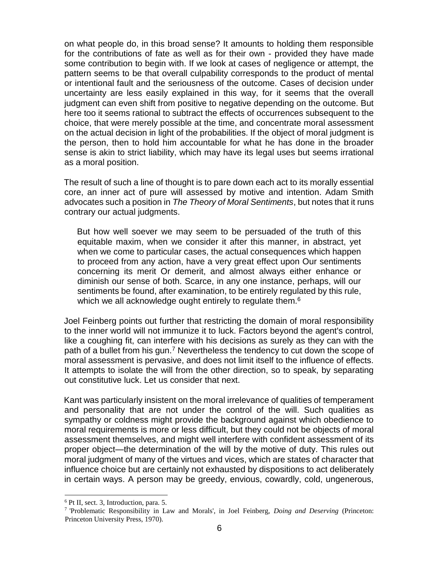on what people do, in this broad sense? It amounts to holding them responsible for the contributions of fate as well as for their own - provided they have made some contribution to begin with. If we look at cases of negligence or attempt, the pattern seems to be that overall culpability corresponds to the product of mental or intentional fault and the seriousness of the outcome. Cases of decision under uncertainty are less easily explained in this way, for it seems that the overall judgment can even shift from positive to negative depending on the outcome. But here too it seems rational to subtract the effects of occurrences subsequent to the choice, that were merely possible at the time, and concentrate moral assessment on the actual decision in light of the probabilities. If the object of moral judgment is the person, then to hold him accountable for what he has done in the broader sense is akin to strict liability, which may have its legal uses but seems irrational as a moral position.

The result of such a line of thought is to pare down each act to its morally essential core, an inner act of pure will assessed by motive and intention. Adam Smith advocates such a position in *The Theory of Moral Sentiments*, but notes that it runs contrary our actual judgments.

But how well soever we may seem to be persuaded of the truth of this equitable maxim, when we consider it after this manner, in abstract, yet when we come to particular cases, the actual consequences which happen to proceed from any action, have a very great effect upon Our sentiments concerning its merit Or demerit, and almost always either enhance or diminish our sense of both. Scarce, in any one instance, perhaps, will our sentiments be found, after examination, to be entirely regulated by this rule, which we all acknowledge ought entirely to regulate them.<sup>6</sup>

Joel Feinberg points out further that restricting the domain of moral responsibility to the inner world will not immunize it to luck. Factors beyond the agent's control, like a coughing fit, can interfere with his decisions as surely as they can with the path of a bullet from his gun.<sup>7</sup> Nevertheless the tendency to cut down the scope of moral assessment is pervasive, and does not limit itself to the influence of effects. It attempts to isolate the will from the other direction, so to speak, by separating out constitutive luck. Let us consider that next.

Kant was particularly insistent on the moral irrelevance of qualities of temperament and personality that are not under the control of the will. Such qualities as sympathy or coldness might provide the background against which obedience to moral requirements is more or less difficult, but they could not be objects of moral assessment themselves, and might well interfere with confident assessment of its proper object—the determination of the will by the motive of duty. This rules out moral judgment of many of the virtues and vices, which are states of character that influence choice but are certainly not exhausted by dispositions to act deliberately in certain ways. A person may be greedy, envious, cowardly, cold, ungenerous,

<sup>6</sup> Pt II, sect. 3, Introduction, para. 5.

<sup>7</sup> 'Problematic Responsibility in Law and Morals', in Joel Feinberg, *Doing and Deserving* (Princeton: Princeton University Press, 1970).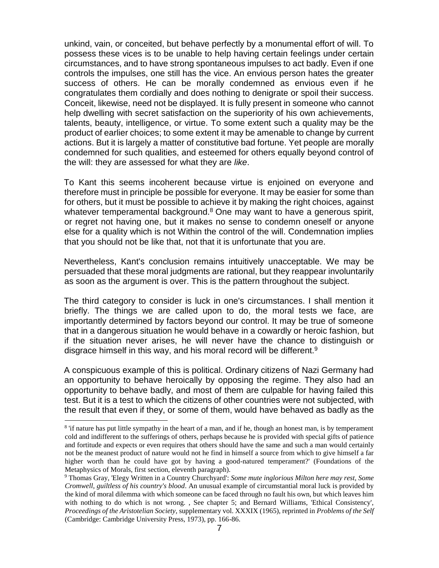unkind, vain, or conceited, but behave perfectly by a monumental effort of will. To possess these vices is to be unable to help having certain feelings under certain circumstances, and to have strong spontaneous impulses to act badly. Even if one controls the impulses, one still has the vice. An envious person hates the greater success of others. He can be morally condemned as envious even if he congratulates them cordially and does nothing to denigrate or spoil their success. Conceit, likewise, need not be displayed. It is fully present in someone who cannot help dwelling with secret satisfaction on the superiority of his own achievements, talents, beauty, intelligence, or virtue. To some extent such a quality may be the product of earlier choices; to some extent it may be amenable to change by current actions. But it is largely a matter of constitutive bad fortune. Yet people are morally condemned for such qualities, and esteemed for others equally beyond control of the will: they are assessed for what they are *like*.

To Kant this seems incoherent because virtue is enjoined on everyone and therefore must in principle be possible for everyone. It may be easier for some than for others, but it must be possible to achieve it by making the right choices, against whatever temperamental background.<sup>8</sup> One may want to have a generous spirit, or regret not having one, but it makes no sense to condemn oneself or anyone else for a quality which is not Within the control of the will. Condemnation implies that you should not be like that, not that it is unfortunate that you are.

Nevertheless, Kant's conclusion remains intuitively unacceptable. We may be persuaded that these moral judgments are rational, but they reappear involuntarily as soon as the argument is over. This is the pattern throughout the subject.

The third category to consider is luck in one's circumstances. I shall mention it briefly. The things we are called upon to do, the moral tests we face, are importantly determined by factors beyond our control. It may be true of someone that in a dangerous situation he would behave in a cowardly or heroic fashion, but if the situation never arises, he will never have the chance to distinguish or disgrace himself in this way, and his moral record will be different.<sup>9</sup>

A conspicuous example of this is political. Ordinary citizens of Nazi Germany had an opportunity to behave heroically by opposing the regime. They also had an opportunity to behave badly, and most of them are culpable for having failed this test. But it is a test to which the citizens of other countries were not subjected, with the result that even if they, or some of them, would have behaved as badly as the

<sup>&</sup>lt;sup>8</sup> 'if nature has put little sympathy in the heart of a man, and if he, though an honest man, is by temperament cold and indifferent to the sufferings of others, perhaps because he is provided with special gifts of patience and fortitude and expects or even requires that others should have the same and such a man would certainly not be the meanest product of nature would not he find in himself a source from which to give himself a far higher worth than he could have got by having a good-natured temperament?' (Foundations of the Metaphysics of Morals, first section, eleventh paragraph).

<sup>9</sup> Thomas Gray, 'Elegy Written in a Country Churchyard': *Some mute inglorious Milton here may rest, Some Cromwell, guiltless of his country's blood*. An unusual example of circumstantial moral luck is provided by the kind of moral dilemma with which someone can be faced through no fault his own, but which leaves him with nothing to do which is not wrong., See chapter 5; and Bernard Williams, 'Ethical Consistency', *Proceedings of the Aristotelian Society,* supplementary vol. XXXIX (1965), reprinted in *Problems of the Self* (Cambridge: Cambridge University Press, 1973), pp. 166-86.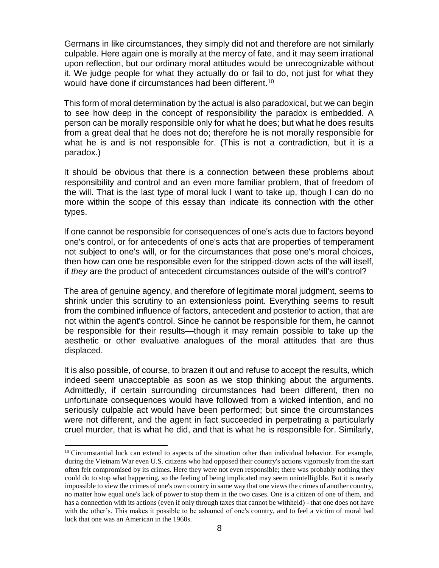Germans in like circumstances, they simply did not and therefore are not similarly culpable. Here again one is morally at the mercy of fate, and it may seem irrational upon reflection, but our ordinary moral attitudes would be unrecognizable without it. We judge people for what they actually do or fail to do, not just for what they would have done if circumstances had been different.<sup>10</sup>

This form of moral determination by the actual is also paradoxical, but we can begin to see how deep in the concept of responsibility the paradox is embedded. A person can be morally responsible only for what he does; but what he does results from a great deal that he does not do; therefore he is not morally responsible for what he is and is not responsible for. (This is not a contradiction, but it is a paradox.)

It should be obvious that there is a connection between these problems about responsibility and control and an even more familiar problem, that of freedom of the will. That is the last type of moral luck I want to take up, though I can do no more within the scope of this essay than indicate its connection with the other types.

If one cannot be responsible for consequences of one's acts due to factors beyond one's control, or for antecedents of one's acts that are properties of temperament not subject to one's will, or for the circumstances that pose one's moral choices, then how can one be responsible even for the stripped-down acts of the will itself, if *they* are the product of antecedent circumstances outside of the will's control?

The area of genuine agency, and therefore of legitimate moral judgment, seems to shrink under this scrutiny to an extensionless point. Everything seems to result from the combined influence of factors, antecedent and posterior to action, that are not within the agent's control. Since he cannot be responsible for them, he cannot be responsible for their results—though it may remain possible to take up the aesthetic or other evaluative analogues of the moral attitudes that are thus displaced.

It is also possible, of course, to brazen it out and refuse to accept the results, which indeed seem unacceptable as soon as we stop thinking about the arguments. Admittedly, if certain surrounding circumstances had been different, then no unfortunate consequences would have followed from a wicked intention, and no seriously culpable act would have been performed; but since the circumstances were not different, and the agent in fact succeeded in perpetrating a particularly cruel murder, that is what he did, and that is what he is responsible for. Similarly,

 $10$  Circumstantial luck can extend to aspects of the situation other than individual behavior. For example, during the Vietnam War even U.S. citizens who had opposed their country's actions vigorously from the start often felt compromised by its crimes. Here they were not even responsible; there was probably nothing they could do to stop what happening, so the feeling of being implicated may seem unintelligible. But it is nearly impossible to view the crimes of one's own country in same way that one views the crimes of another country, no matter how equal one's lack of power to stop them in the two cases. One is a citizen of one of them, and has a connection with its actions (even if only through taxes that cannot be withheld) - that one does not have with the other's. This makes it possible to be ashamed of one's country, and to feel a victim of moral bad luck that one was an American in the 1960s.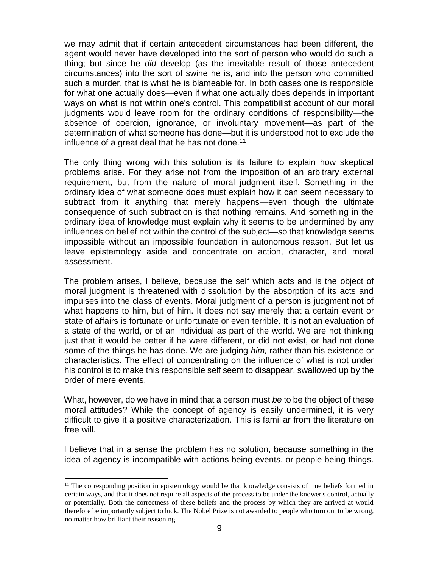we may admit that if certain antecedent circumstances had been different, the agent would never have developed into the sort of person who would do such a thing; but since he *did* develop (as the inevitable result of those antecedent circumstances) into the sort of swine he is, and into the person who committed such a murder, that is what he is blameable for. In both cases one is responsible for what one actually does—even if what one actually does depends in important ways on what is not within one's control. This compatibilist account of our moral judgments would leave room for the ordinary conditions of responsibility—the absence of coercion, ignorance, or involuntary movement—as part of the determination of what someone has done—but it is understood not to exclude the influence of a great deal that he has not done.<sup>11</sup>

The only thing wrong with this solution is its failure to explain how skeptical problems arise. For they arise not from the imposition of an arbitrary external requirement, but from the nature of moral judgment itself. Something in the ordinary idea of what someone does must explain how it can seem necessary to subtract from it anything that merely happens—even though the ultimate consequence of such subtraction is that nothing remains. And something in the ordinary idea of knowledge must explain why it seems to be undermined by any influences on belief not within the control of the subject—so that knowledge seems impossible without an impossible foundation in autonomous reason. But let us leave epistemology aside and concentrate on action, character, and moral assessment.

The problem arises, I believe, because the self which acts and is the object of moral judgment is threatened with dissolution by the absorption of its acts and impulses into the class of events. Moral judgment of a person is judgment not of what happens to him, but of him. It does not say merely that a certain event or state of affairs is fortunate or unfortunate or even terrible. It is not an evaluation of a state of the world, or of an individual as part of the world. We are not thinking just that it would be better if he were different, or did not exist, or had not done some of the things he has done. We are judging *him,* rather than his existence or characteristics. The effect of concentrating on the influence of what is not under his control is to make this responsible self seem to disappear, swallowed up by the order of mere events.

What, however, do we have in mind that a person must *be* to be the object of these moral attitudes? While the concept of agency is easily undermined, it is very difficult to give it a positive characterization. This is familiar from the literature on free will.

I believe that in a sense the problem has no solution, because something in the idea of agency is incompatible with actions being events, or people being things.

 $\overline{a}$ 

 $11$  The corresponding position in epistemology would be that knowledge consists of true beliefs formed in certain ways, and that it does not require all aspects of the process to be under the knower's control, actually or potentially. Both the correctness of these beliefs and the process by which they are arrived at would therefore be importantly subject to luck. The Nobel Prize is not awarded to people who turn out to be wrong, no matter how brilliant their reasoning.